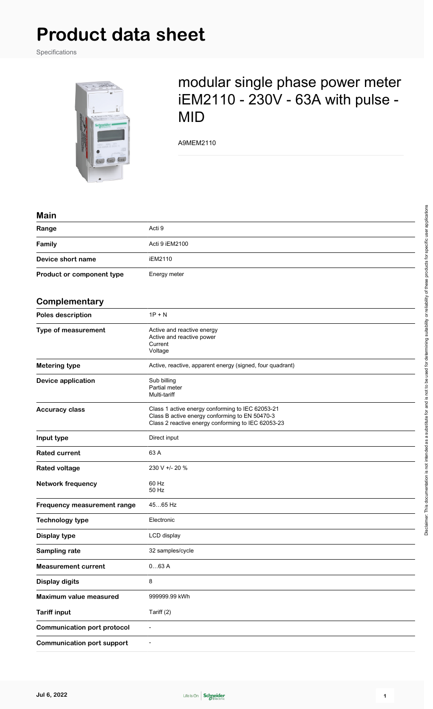# **Product data sheet**

Specifications



## modular single phase power meter iEM2110 - 230V - 63A with pulse - MID

A9MEM2110

#### **Main**

| Range                     | Acti 9         |
|---------------------------|----------------|
| Family                    | Acti 9 iEM2100 |
| Device short name         | iEM2110        |
| Product or component type | Energy meter   |

#### **Complementary**

| Complementary                      |                                                                                                                                                          |  |
|------------------------------------|----------------------------------------------------------------------------------------------------------------------------------------------------------|--|
| Poles description                  | $1P + N$                                                                                                                                                 |  |
| Type of measurement                | Active and reactive energy<br>Active and reactive power<br>Current<br>Voltage                                                                            |  |
| <b>Metering type</b>               | Active, reactive, apparent energy (signed, four quadrant)                                                                                                |  |
| <b>Device application</b>          | Sub billing<br>Partial meter<br>Multi-tariff                                                                                                             |  |
| <b>Accuracy class</b>              | Class 1 active energy conforming to IEC 62053-21<br>Class B active energy conforming to EN 50470-3<br>Class 2 reactive energy conforming to IEC 62053-23 |  |
| Input type                         | Direct input                                                                                                                                             |  |
| <b>Rated current</b>               | 63 A                                                                                                                                                     |  |
| <b>Rated voltage</b>               | 230 V +/- 20 %                                                                                                                                           |  |
| <b>Network frequency</b>           | 60 Hz<br>50 Hz                                                                                                                                           |  |
| Frequency measurement range        | 4565 Hz                                                                                                                                                  |  |
| <b>Technology type</b>             | Electronic                                                                                                                                               |  |
| Display type                       | LCD display                                                                                                                                              |  |
| Sampling rate                      | 32 samples/cycle                                                                                                                                         |  |
| <b>Measurement current</b>         | 063A                                                                                                                                                     |  |
| <b>Display digits</b>              | 8                                                                                                                                                        |  |
| <b>Maximum value measured</b>      | 999999.99 kWh                                                                                                                                            |  |
| <b>Tariff input</b>                | Tariff (2)                                                                                                                                               |  |
| <b>Communication port protocol</b> | $\overline{a}$                                                                                                                                           |  |
| <b>Communication port support</b>  | ÷,                                                                                                                                                       |  |

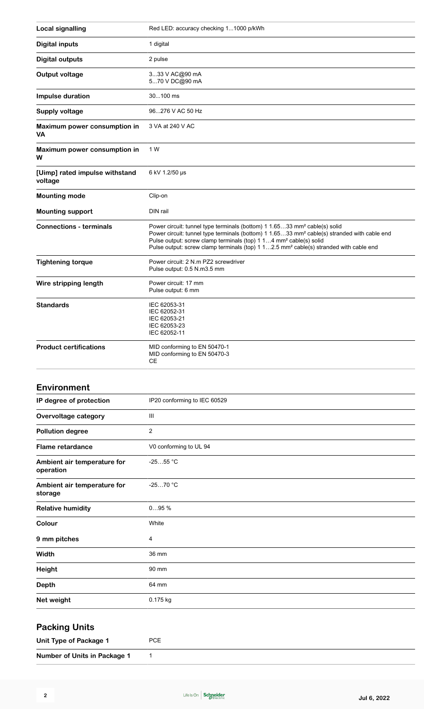| <b>Local signalling</b>                   | Red LED: accuracy checking 11000 p/kWh                                                                                                                                                                                                                                                                                                                                                 |
|-------------------------------------------|----------------------------------------------------------------------------------------------------------------------------------------------------------------------------------------------------------------------------------------------------------------------------------------------------------------------------------------------------------------------------------------|
| <b>Digital inputs</b>                     | 1 digital                                                                                                                                                                                                                                                                                                                                                                              |
| <b>Digital outputs</b>                    | 2 pulse                                                                                                                                                                                                                                                                                                                                                                                |
| <b>Output voltage</b>                     | 333 V AC@90 mA<br>570 V DC@90 mA                                                                                                                                                                                                                                                                                                                                                       |
| Impulse duration                          | 30100 ms                                                                                                                                                                                                                                                                                                                                                                               |
| <b>Supply voltage</b>                     | 96276 V AC 50 Hz                                                                                                                                                                                                                                                                                                                                                                       |
| Maximum power consumption in<br>VA        | 3 VA at 240 V AC                                                                                                                                                                                                                                                                                                                                                                       |
| Maximum power consumption in<br>W         | 1 W                                                                                                                                                                                                                                                                                                                                                                                    |
| [Uimp] rated impulse withstand<br>voltage | 6 kV 1.2/50 µs                                                                                                                                                                                                                                                                                                                                                                         |
| <b>Mounting mode</b>                      | Clip-on                                                                                                                                                                                                                                                                                                                                                                                |
| <b>Mounting support</b>                   | DIN rail                                                                                                                                                                                                                                                                                                                                                                               |
| <b>Connections - terminals</b>            | Power circuit: tunnel type terminals (bottom) 1 1.6533 mm <sup>2</sup> cable(s) solid<br>Power circuit: tunnel type terminals (bottom) 1 1.6533 mm <sup>2</sup> cable(s) stranded with cable end<br>Pulse output: screw clamp terminals (top) 1 14 mm <sup>2</sup> cable(s) solid<br>Pulse output: screw clamp terminals (top) 1 12.5 mm <sup>2</sup> cable(s) stranded with cable end |
| <b>Tightening torque</b>                  | Power circuit: 2 N.m PZ2 screwdriver<br>Pulse output: 0.5 N.m3.5 mm                                                                                                                                                                                                                                                                                                                    |
| Wire stripping length                     | Power circuit: 17 mm<br>Pulse output: 6 mm                                                                                                                                                                                                                                                                                                                                             |
| <b>Standards</b>                          | IEC 62053-31<br>IEC 62052-31<br>IEC 62053-21<br>IEC 62053-23<br>IEC 62052-11                                                                                                                                                                                                                                                                                                           |
| <b>Product certifications</b>             | MID conforming to EN 50470-1<br>MID conforming to EN 50470-3<br>CЕ                                                                                                                                                                                                                                                                                                                     |
| <b>Environment</b>                        |                                                                                                                                                                                                                                                                                                                                                                                        |
| IP degree of protection                   | IP20 conforming to IEC 60529                                                                                                                                                                                                                                                                                                                                                           |
| Overvoltage category                      | Ш                                                                                                                                                                                                                                                                                                                                                                                      |
| <b>Pollution degree</b>                   | 2                                                                                                                                                                                                                                                                                                                                                                                      |
| <b>Flame retardance</b>                   | V0 conforming to UL 94                                                                                                                                                                                                                                                                                                                                                                 |
| Ambient air temperature for<br>operation  | $-2555 °C$                                                                                                                                                                                                                                                                                                                                                                             |
| Ambient air temperature for<br>storage    | $-2570 °C$                                                                                                                                                                                                                                                                                                                                                                             |
| <b>Relative humidity</b>                  | 095%                                                                                                                                                                                                                                                                                                                                                                                   |
| Colour                                    | White                                                                                                                                                                                                                                                                                                                                                                                  |
| 9 mm pitches                              | 4                                                                                                                                                                                                                                                                                                                                                                                      |
| Width                                     | 36 mm                                                                                                                                                                                                                                                                                                                                                                                  |
| Height                                    | 90 mm                                                                                                                                                                                                                                                                                                                                                                                  |

| <b>Depth</b>           | 64 mm      |  |
|------------------------|------------|--|
| Net weight             | $0.175$ kg |  |
| <b>Packing Units</b>   |            |  |
| Unit Type of Package 1 | <b>PCE</b> |  |

**Number of Units in Package 1** 1